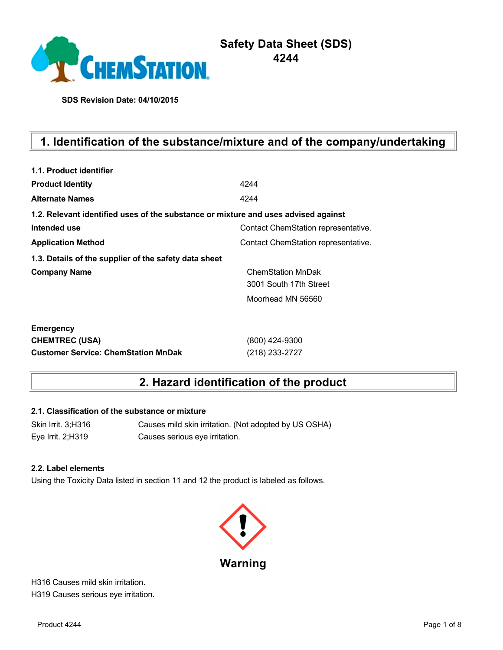

**SDS Revision Date: 04/10/2015**

# **1. Identification of the substance/mixture and of the company/undertaking**

| 1.1. Product identifier                                                            |                                     |  |  |  |  |
|------------------------------------------------------------------------------------|-------------------------------------|--|--|--|--|
| <b>Product Identity</b>                                                            | 4244                                |  |  |  |  |
| <b>Alternate Names</b>                                                             | 4244                                |  |  |  |  |
| 1.2. Relevant identified uses of the substance or mixture and uses advised against |                                     |  |  |  |  |
| Intended use                                                                       | Contact ChemStation representative. |  |  |  |  |
| <b>Application Method</b>                                                          | Contact ChemStation representative. |  |  |  |  |
| 1.3. Details of the supplier of the safety data sheet                              |                                     |  |  |  |  |
| <b>Company Name</b>                                                                | <b>ChemStation MnDak</b>            |  |  |  |  |
|                                                                                    | 3001 South 17th Street              |  |  |  |  |
|                                                                                    | Moorhead MN 56560                   |  |  |  |  |
| <b>Emergency</b>                                                                   |                                     |  |  |  |  |
| <b>CHEMTREC (USA)</b>                                                              | (800) 424-9300                      |  |  |  |  |
| <b>Customer Service: ChemStation MnDak</b>                                         | (218) 233-2727                      |  |  |  |  |

## **2. Hazard identification of the product**

### **2.1. Classification of the substance or mixture**

Skin Irrit. 3;H316 Causes mild skin irritation. (Not adopted by US OSHA) Eye Irrit. 2;H319 Causes serious eye irritation.

#### **2.2. Label elements**

Using the Toxicity Data listed in section 11 and 12 the product is labeled as follows.



H316 Causes mild skin irritation. H319 Causes serious eye irritation.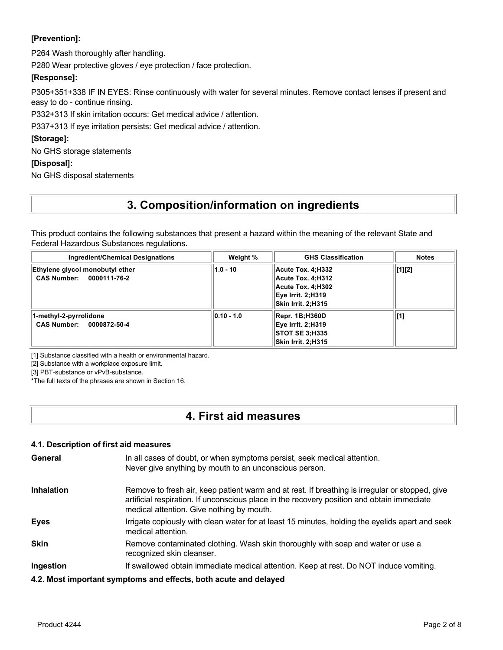### **[Prevention]:**

P264 Wash thoroughly after handling.

P280 Wear protective gloves / eye protection / face protection.

### **[Response]:**

P305+351+338 IF IN EYES: Rinse continuously with water for several minutes. Remove contact lenses if present and easy to do - continue rinsing.

P332+313 If skin irritation occurs: Get medical advice / attention.

P337+313 If eye irritation persists: Get medical advice / attention.

### **[Storage]:**

No GHS storage statements

### **[Disposal]:**

No GHS disposal statements

## **3. Composition/information on ingredients**

This product contains the following substances that present a hazard within the meaning of the relevant State and Federal Hazardous Substances regulations.

| <b>Ingredient/Chemical Designations</b>                     | Weight %       | <b>GHS Classification</b>                                                                              | <b>Notes</b>   |
|-------------------------------------------------------------|----------------|--------------------------------------------------------------------------------------------------------|----------------|
| Ethylene glycol monobutyl ether<br>CAS Number: 0000111-76-2 | $1.0 - 10$     | Acute Tox. 4:H332<br>Acute Tox. 4:H312<br>Acute Tox. 4:H302<br>Eye Irrit. 2;H319<br>Skin Irrit. 2:H315 | $\vert$ [1][2] |
| 1-methyl-2-pyrrolidone<br>CAS Number: 0000872-50-4          | $ 0.10 - 1.0 $ | Repr. 1B;H360D<br>Eye Irrit. 2;H319<br> STOT SE 3:H335<br>Skin Irrit. 2:H315                           | [1]            |

[1] Substance classified with a health or environmental hazard.

[2] Substance with a workplace exposure limit.

[3] PBT-substance or vPvB-substance.

\*The full texts of the phrases are shown in Section 16.

## **4. First aid measures**

### **4.1. Description of first aid measures**

| General           | In all cases of doubt, or when symptoms persist, seek medical attention.<br>Never give anything by mouth to an unconscious person.                                                                                                        |
|-------------------|-------------------------------------------------------------------------------------------------------------------------------------------------------------------------------------------------------------------------------------------|
| <b>Inhalation</b> | Remove to fresh air, keep patient warm and at rest. If breathing is irregular or stopped, give<br>artificial respiration. If unconscious place in the recovery position and obtain immediate<br>medical attention. Give nothing by mouth. |
| <b>Eyes</b>       | Irrigate copiously with clean water for at least 15 minutes, holding the eyelids apart and seek<br>medical attention.                                                                                                                     |
| <b>Skin</b>       | Remove contaminated clothing. Wash skin thoroughly with soap and water or use a<br>recognized skin cleanser.                                                                                                                              |
| Ingestion         | If swallowed obtain immediate medical attention. Keep at rest. Do NOT induce vomiting.                                                                                                                                                    |
|                   | 4.2. Most important symptoms and effects, both acute and delayed                                                                                                                                                                          |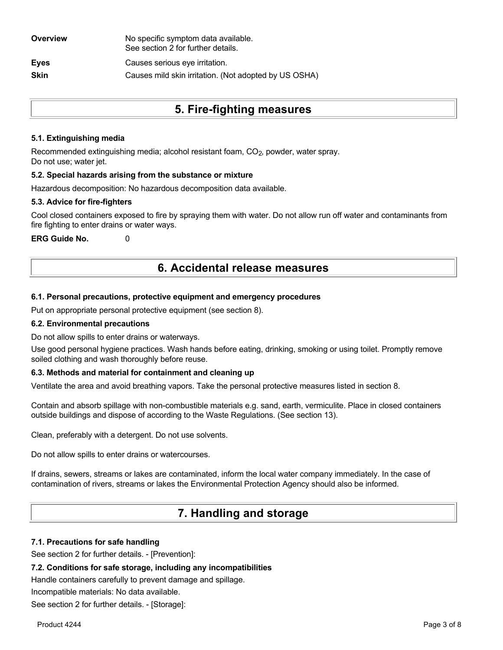| Overview    | No specific symptom data available.<br>See section 2 for further details. |
|-------------|---------------------------------------------------------------------------|
| <b>Eyes</b> | Causes serious eye irritation.                                            |
| <b>Skin</b> | Causes mild skin irritation. (Not adopted by US OSHA)                     |
|             |                                                                           |

## **5. Fire-fighting measures**

### **5.1. Extinguishing media**

Recommended extinguishing media; alcohol resistant foam, CO<sub>2</sub>, powder, water spray. Do not use; water jet.

### **5.2. Special hazards arising from the substance or mixture**

Hazardous decomposition: No hazardous decomposition data available.

### **5.3. Advice for fire-fighters**

Cool closed containers exposed to fire by spraying them with water. Do not allow run off water and contaminants from fire fighting to enter drains or water ways.

**ERG Guide No.** 0

## **6. Accidental release measures**

### **6.1. Personal precautions, protective equipment and emergency procedures**

Put on appropriate personal protective equipment (see section 8).

### **6.2. Environmental precautions**

Do not allow spills to enter drains or waterways.

Use good personal hygiene practices. Wash hands before eating, drinking, smoking or using toilet. Promptly remove soiled clothing and wash thoroughly before reuse.

### **6.3. Methods and material for containment and cleaning up**

Ventilate the area and avoid breathing vapors. Take the personal protective measures listed in section 8.

Contain and absorb spillage with non-combustible materials e.g. sand, earth, vermiculite. Place in closed containers outside buildings and dispose of according to the Waste Regulations. (See section 13).

Clean, preferably with a detergent. Do not use solvents.

Do not allow spills to enter drains or watercourses.

If drains, sewers, streams or lakes are contaminated, inform the local water company immediately. In the case of contamination of rivers, streams or lakes the Environmental Protection Agency should also be informed.

## **7. Handling and storage**

#### **7.1. Precautions for safe handling**

See section 2 for further details. - [Prevention]:

### **7.2. Conditions for safe storage, including any incompatibilities**

Handle containers carefully to prevent damage and spillage.

Incompatible materials: No data available.

See section 2 for further details. - [Storage]: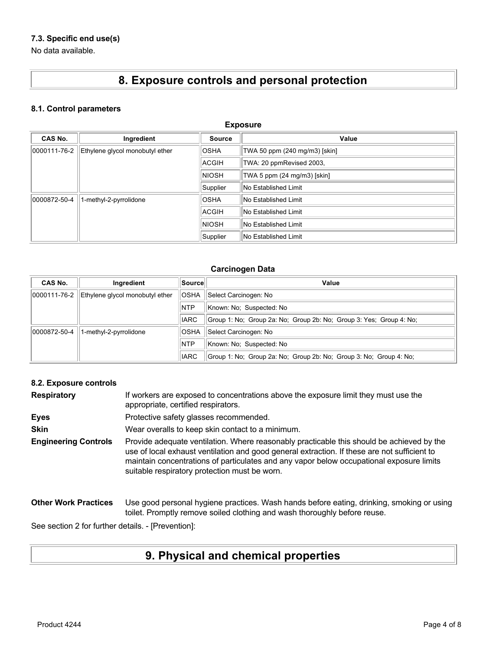### **7.3. Specific end use(s)**

No data available.

# **8. Exposure controls and personal protection**

### **8.1. Control parameters**

| <b>Exposure</b> |                                 |               |                               |
|-----------------|---------------------------------|---------------|-------------------------------|
| <b>CAS No.</b>  | Ingredient                      | <b>Source</b> | Value                         |
| 0000111-76-2    | Ethylene glycol monobutyl ether | <b>OSHA</b>   | TWA 50 ppm (240 mg/m3) [skin] |
|                 |                                 | <b>ACGIH</b>  | TWA: 20 ppmRevised 2003,      |
|                 |                                 | <b>NIOSH</b>  | TWA 5 ppm (24 mg/m3) [skin]   |
|                 |                                 | Supplier      | No Established Limit          |
| 0000872-50-4    | 1-methyl-2-pyrrolidone          | <b>OSHA</b>   | No Established Limit          |
|                 |                                 | <b>ACGIH</b>  | No Established Limit          |
|                 |                                 | <b>NIOSH</b>  | No Established Limit          |
|                 |                                 | Supplier      | No Established Limit          |

### **Carcinogen Data**

| CAS No.      | Ingredient                      | Source      | Value                                                               |
|--------------|---------------------------------|-------------|---------------------------------------------------------------------|
| 0000111-76-2 | Ethylene glycol monobutyl ether | <b>OSHA</b> | Select Carcinogen: No                                               |
|              |                                 | <b>NTP</b>  | Known: No: Suspected: No                                            |
|              |                                 | <b>IARC</b> | Group 1: No; Group 2a: No; Group 2b: No; Group 3: Yes; Group 4: No; |
| 0000872-50-4 | 1-methyl-2-pyrrolidone          | <b>OSHA</b> | Select Carcinogen: No                                               |
|              |                                 | <b>NTP</b>  | Known: No: Suspected: No                                            |
|              |                                 | <b>IARC</b> | Group 1: No: Group 2a: No: Group 2b: No: Group 3: No: Group 4: No:  |

### **8.2. Exposure controls**

| <b>Respiratory</b>          | If workers are exposed to concentrations above the exposure limit they must use the<br>appropriate, certified respirators.                                                                                                                                                                                                             |
|-----------------------------|----------------------------------------------------------------------------------------------------------------------------------------------------------------------------------------------------------------------------------------------------------------------------------------------------------------------------------------|
| <b>Eyes</b>                 | Protective safety glasses recommended.                                                                                                                                                                                                                                                                                                 |
| <b>Skin</b>                 | Wear overalls to keep skin contact to a minimum.                                                                                                                                                                                                                                                                                       |
| <b>Engineering Controls</b> | Provide adequate ventilation. Where reasonably practicable this should be achieved by the<br>use of local exhaust ventilation and good general extraction. If these are not sufficient to<br>maintain concentrations of particulates and any vapor below occupational exposure limits<br>suitable respiratory protection must be worn. |
| <b>Other Work Practices</b> | Use good personal hygiene practices. Wash hands before eating, drinking, smoking or using<br>toilet. Promptly remove soiled clothing and wash thoroughly before reuse.                                                                                                                                                                 |

See section 2 for further details. - [Prevention]:

# **9. Physical and chemical properties**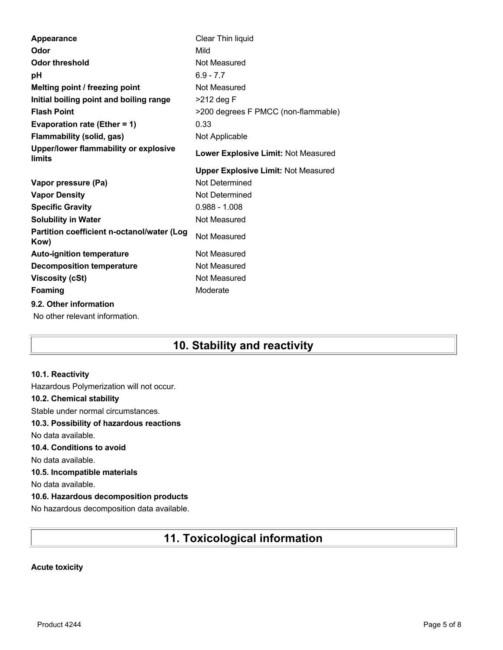| <b>Appearance</b>                                  | Clear Thin liquid                          |
|----------------------------------------------------|--------------------------------------------|
| Odor                                               | Mild                                       |
| <b>Odor threshold</b>                              | Not Measured                               |
| рH                                                 | $6.9 - 7.7$                                |
| Melting point / freezing point                     | Not Measured                               |
| Initial boiling point and boiling range            | >212 deg F                                 |
| <b>Flash Point</b>                                 | >200 degrees F PMCC (non-flammable)        |
| Evaporation rate (Ether = 1)                       | 0.33                                       |
| <b>Flammability (solid, gas)</b>                   | Not Applicable                             |
| Upper/lower flammability or explosive<br>limits    | Lower Explosive Limit: Not Measured        |
|                                                    | <b>Upper Explosive Limit: Not Measured</b> |
| Vapor pressure (Pa)                                | Not Determined                             |
|                                                    | Not Determined                             |
| <b>Vapor Density</b>                               |                                            |
| <b>Specific Gravity</b>                            | $0.988 - 1.008$                            |
| <b>Solubility in Water</b>                         | Not Measured                               |
| Partition coefficient n-octanol/water (Log<br>Kow) | Not Measured                               |
| <b>Auto-ignition temperature</b>                   | Not Measured                               |
| <b>Decomposition temperature</b>                   | Not Measured                               |
| <b>Viscosity (cSt)</b>                             | Not Measured                               |
| Foaming                                            | Moderate                                   |
| 9.2. Other information                             |                                            |

## **10. Stability and reactivity**

### **10.1. Reactivity**

Hazardous Polymerization will not occur. **10.2. Chemical stability** Stable under normal circumstances. **10.3. Possibility of hazardous reactions** No data available. **10.4. Conditions to avoid** No data available. **10.5. Incompatible materials** No data available. **10.6. Hazardous decomposition products** No hazardous decomposition data available.

## **11. Toxicological information**

### **Acute toxicity**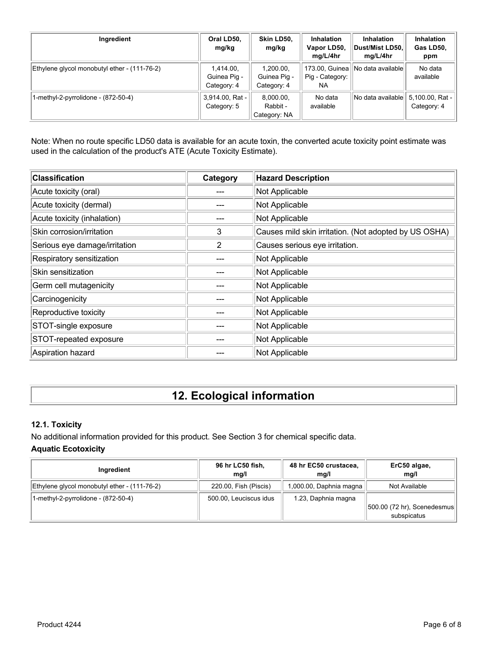| Ingredient                                   | Oral LD50,<br>mg/kg                      | Skin LD50.<br>mg/kg                      | <b>Inhalation</b><br>Vapor LD50,<br>mg/L/4hr | <b>Inhalation</b><br>Dust/Mist LD50,<br>mg/L/4hr | <b>Inhalation</b><br>Gas LD50,<br>ppm |
|----------------------------------------------|------------------------------------------|------------------------------------------|----------------------------------------------|--------------------------------------------------|---------------------------------------|
| Ethylene glycol monobutyl ether - (111-76-2) | 1,414.00,<br>Guinea Pig -<br>Category: 4 | 1.200.00.<br>Guinea Pig -<br>Category: 4 | Pig - Category:<br>NA                        | 173.00, Guinea    No data available              | No data<br>available                  |
| 1-methyl-2-pyrrolidone - (872-50-4)          | 3,914.00, Rat -<br>Category: 5           | 8,000.00,<br>Rabbit -<br>Category: NA    | No data<br>available                         | No data available                                | 5,100.00, Rat -<br>Category: 4        |

Note: When no route specific LD50 data is available for an acute toxin, the converted acute toxicity point estimate was used in the calculation of the product's ATE (Acute Toxicity Estimate).

| <b>Classification</b>         | Category | <b>Hazard Description</b>                             |
|-------------------------------|----------|-------------------------------------------------------|
| Acute toxicity (oral)         |          | Not Applicable                                        |
| Acute toxicity (dermal)       |          | Not Applicable                                        |
| Acute toxicity (inhalation)   |          | Not Applicable                                        |
| Skin corrosion/irritation     | 3        | Causes mild skin irritation. (Not adopted by US OSHA) |
| Serious eye damage/irritation | 2        | Causes serious eye irritation.                        |
| Respiratory sensitization     |          | Not Applicable                                        |
| Skin sensitization            |          | Not Applicable                                        |
| Germ cell mutagenicity        |          | Not Applicable                                        |
| Carcinogenicity               |          | Not Applicable                                        |
| Reproductive toxicity         |          | Not Applicable                                        |
| STOT-single exposure          |          | Not Applicable                                        |
| STOT-repeated exposure        |          | Not Applicable                                        |
| Aspiration hazard             |          | Not Applicable                                        |

# **12. Ecological information**

### **12.1. Toxicity**

No additional information provided for this product. See Section 3 for chemical specific data.

### **Aquatic Ecotoxicity**

| Ingredient                                   | 96 hr LC50 fish,<br>mq/l | 48 hr EC50 crustacea,<br>mq/l | ErC50 algae,<br>mq/l         |
|----------------------------------------------|--------------------------|-------------------------------|------------------------------|
| Ethylene glycol monobutyl ether - (111-76-2) | 220.00, Fish (Piscis)    | 1,000.00, Daphnia magna       | Not Available                |
| 1-methyl-2-pyrrolidone - (872-50-4)          | 500.00, Leuciscus idus   | 1.23, Daphnia magna           | [500.00 (72 hr), Scenedesmus |
|                                              |                          |                               | subspicatus                  |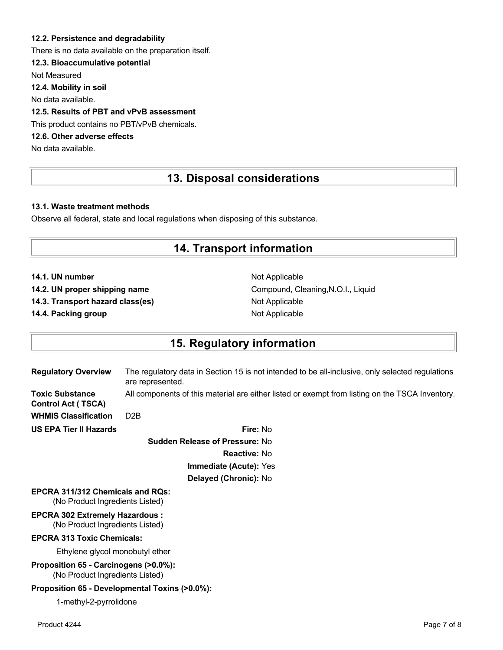### **12.2. Persistence and degradability**

There is no data available on the preparation itself.

### **12.3. Bioaccumulative potential**

Not Measured

**12.4. Mobility in soil**

No data available.

### **12.5. Results of PBT and vPvB assessment**

This product contains no PBT/vPvB chemicals.

### **12.6. Other adverse effects**

No data available.

## **13. Disposal considerations**

### **13.1. Waste treatment methods**

Observe all federal, state and local regulations when disposing of this substance.

### **14. Transport information**

**14.1. UN number** Not Applicable

**14.3. Transport hazard class(es)** Not Applicable

**14.4. Packing group Not Applicable Not Applicable** 

**14.2. UN proper shipping name** Compound, Cleaning,N.O.I., Liquid

## **15. Regulatory information**

| <b>Regulatory Overview</b>                          | The regulatory data in Section 15 is not intended to be all-inclusive, only selected regulations<br>are represented. |
|-----------------------------------------------------|----------------------------------------------------------------------------------------------------------------------|
| <b>Toxic Substance</b><br><b>Control Act (TSCA)</b> | All components of this material are either listed or exempt from listing on the TSCA Inventory.                      |
| <b>WHMIS Classification</b>                         | D <sub>2</sub> B                                                                                                     |
| <b>US EPA Tier II Hazards</b>                       | <b>Fire: No</b>                                                                                                      |
|                                                     | <b>Sudden Release of Pressure: No</b>                                                                                |
|                                                     | <b>Reactive: No</b>                                                                                                  |
|                                                     | Immediate (Acute): Yes                                                                                               |
|                                                     | Delayed (Chronic): No                                                                                                |
| EPCRA 311/312 Chemicals and RQs:                    |                                                                                                                      |

(No Product Ingredients Listed)

**EPCRA 302 Extremely Hazardous :** (No Product Ingredients Listed)

### **EPCRA 313 Toxic Chemicals:**

Ethylene glycol monobutyl ether

**Proposition 65 - Carcinogens (>0.0%):**

(No Product Ingredients Listed)

### **Proposition 65 - Developmental Toxins (>0.0%):**

1-methyl-2-pyrrolidone